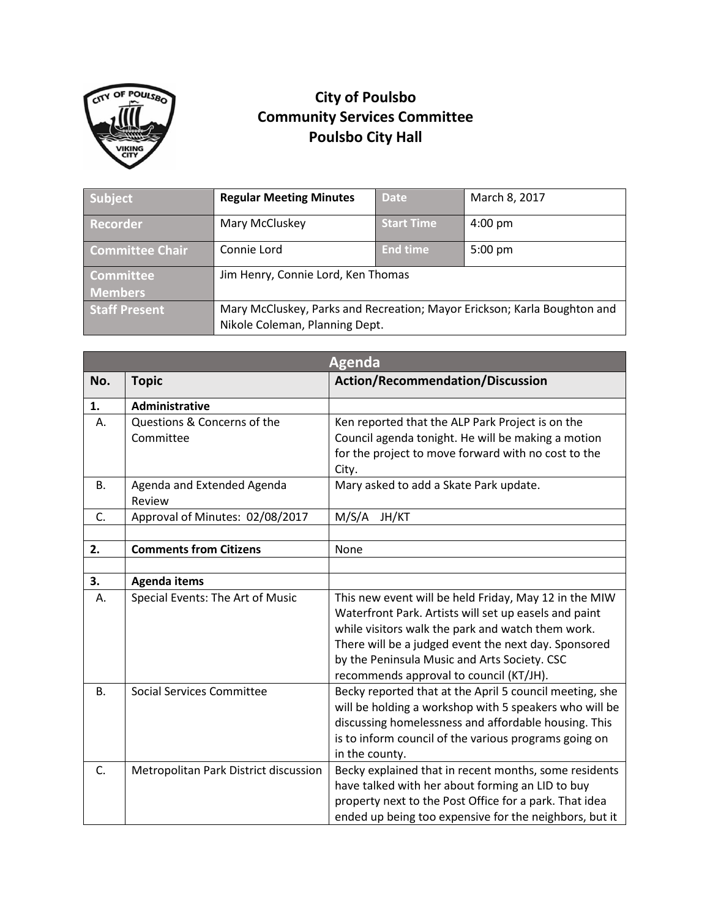

## **City of Poulsbo Community Services Committee Poulsbo City Hall**

| Subject                | <b>Regular Meeting Minutes</b>                                                                             | <b>Date</b>       | March 8, 2017     |
|------------------------|------------------------------------------------------------------------------------------------------------|-------------------|-------------------|
| Recorder               | Mary McCluskey                                                                                             | <b>Start Time</b> | $4:00 \text{ pm}$ |
| <b>Committee Chair</b> | Connie Lord                                                                                                | <b>End time</b>   | $5:00$ pm         |
| <b>Committee</b>       | Jim Henry, Connie Lord, Ken Thomas                                                                         |                   |                   |
| <b>Members</b>         |                                                                                                            |                   |                   |
| <b>Staff Present</b>   | Mary McCluskey, Parks and Recreation; Mayor Erickson; Karla Boughton and<br>Nikole Coleman, Planning Dept. |                   |                   |

| <b>Agenda</b> |                                       |                                                              |  |  |
|---------------|---------------------------------------|--------------------------------------------------------------|--|--|
| No.           | <b>Topic</b>                          | <b>Action/Recommendation/Discussion</b>                      |  |  |
| 1.            | Administrative                        |                                                              |  |  |
| А.            | Questions & Concerns of the           | Ken reported that the ALP Park Project is on the             |  |  |
|               | Committee                             | Council agenda tonight. He will be making a motion           |  |  |
|               |                                       | for the project to move forward with no cost to the<br>City. |  |  |
| В.            | Agenda and Extended Agenda            | Mary asked to add a Skate Park update.                       |  |  |
|               | Review                                |                                                              |  |  |
| C.            | Approval of Minutes: 02/08/2017       | M/S/A<br>JH/KT                                               |  |  |
|               |                                       |                                                              |  |  |
| 2.            | <b>Comments from Citizens</b>         | None                                                         |  |  |
|               |                                       |                                                              |  |  |
| 3.            | <b>Agenda items</b>                   |                                                              |  |  |
| А.            | Special Events: The Art of Music      | This new event will be held Friday, May 12 in the MIW        |  |  |
|               |                                       | Waterfront Park. Artists will set up easels and paint        |  |  |
|               |                                       | while visitors walk the park and watch them work.            |  |  |
|               |                                       | There will be a judged event the next day. Sponsored         |  |  |
|               |                                       | by the Peninsula Music and Arts Society. CSC                 |  |  |
|               |                                       | recommends approval to council (KT/JH).                      |  |  |
| <b>B.</b>     | <b>Social Services Committee</b>      | Becky reported that at the April 5 council meeting, she      |  |  |
|               |                                       | will be holding a workshop with 5 speakers who will be       |  |  |
|               |                                       | discussing homelessness and affordable housing. This         |  |  |
|               |                                       | is to inform council of the various programs going on        |  |  |
|               |                                       | in the county.                                               |  |  |
| C.            | Metropolitan Park District discussion | Becky explained that in recent months, some residents        |  |  |
|               |                                       | have talked with her about forming an LID to buy             |  |  |
|               |                                       | property next to the Post Office for a park. That idea       |  |  |
|               |                                       | ended up being too expensive for the neighbors, but it       |  |  |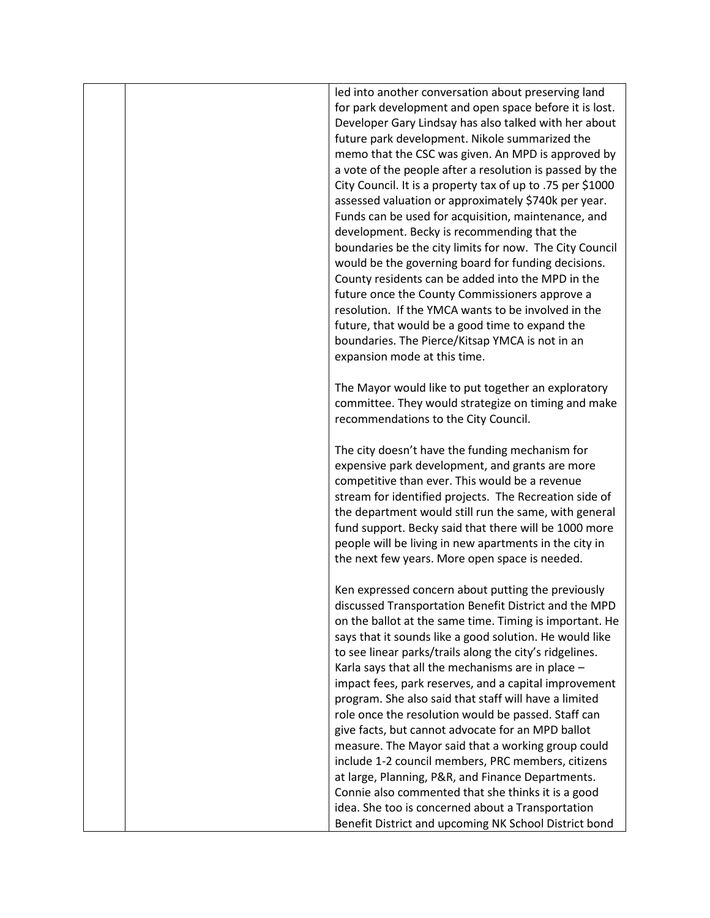|  | led into another conversation about preserving land<br>for park development and open space before it is lost.<br>Developer Gary Lindsay has also talked with her about<br>future park development. Nikole summarized the<br>memo that the CSC was given. An MPD is approved by<br>a vote of the people after a resolution is passed by the<br>City Council. It is a property tax of up to .75 per \$1000<br>assessed valuation or approximately \$740k per year.<br>Funds can be used for acquisition, maintenance, and<br>development. Becky is recommending that the<br>boundaries be the city limits for now. The City Council<br>would be the governing board for funding decisions.<br>County residents can be added into the MPD in the<br>future once the County Commissioners approve a<br>resolution. If the YMCA wants to be involved in the |
|--|--------------------------------------------------------------------------------------------------------------------------------------------------------------------------------------------------------------------------------------------------------------------------------------------------------------------------------------------------------------------------------------------------------------------------------------------------------------------------------------------------------------------------------------------------------------------------------------------------------------------------------------------------------------------------------------------------------------------------------------------------------------------------------------------------------------------------------------------------------|
|  | future, that would be a good time to expand the<br>boundaries. The Pierce/Kitsap YMCA is not in an<br>expansion mode at this time.                                                                                                                                                                                                                                                                                                                                                                                                                                                                                                                                                                                                                                                                                                                     |
|  | The Mayor would like to put together an exploratory<br>committee. They would strategize on timing and make<br>recommendations to the City Council.                                                                                                                                                                                                                                                                                                                                                                                                                                                                                                                                                                                                                                                                                                     |
|  | The city doesn't have the funding mechanism for<br>expensive park development, and grants are more<br>competitive than ever. This would be a revenue<br>stream for identified projects. The Recreation side of<br>the department would still run the same, with general<br>fund support. Becky said that there will be 1000 more<br>people will be living in new apartments in the city in<br>the next few years. More open space is needed.                                                                                                                                                                                                                                                                                                                                                                                                           |
|  | Ken expressed concern about putting the previously<br>discussed Transportation Benefit District and the MPD<br>on the ballot at the same time. Timing is important. He<br>says that it sounds like a good solution. He would like<br>to see linear parks/trails along the city's ridgelines.<br>Karla says that all the mechanisms are in place -<br>impact fees, park reserves, and a capital improvement<br>program. She also said that staff will have a limited<br>role once the resolution would be passed. Staff can<br>give facts, but cannot advocate for an MPD ballot<br>measure. The Mayor said that a working group could<br>include 1-2 council members, PRC members, citizens<br>at large, Planning, P&R, and Finance Departments.                                                                                                       |
|  | Connie also commented that she thinks it is a good<br>idea. She too is concerned about a Transportation<br>Benefit District and upcoming NK School District bond                                                                                                                                                                                                                                                                                                                                                                                                                                                                                                                                                                                                                                                                                       |